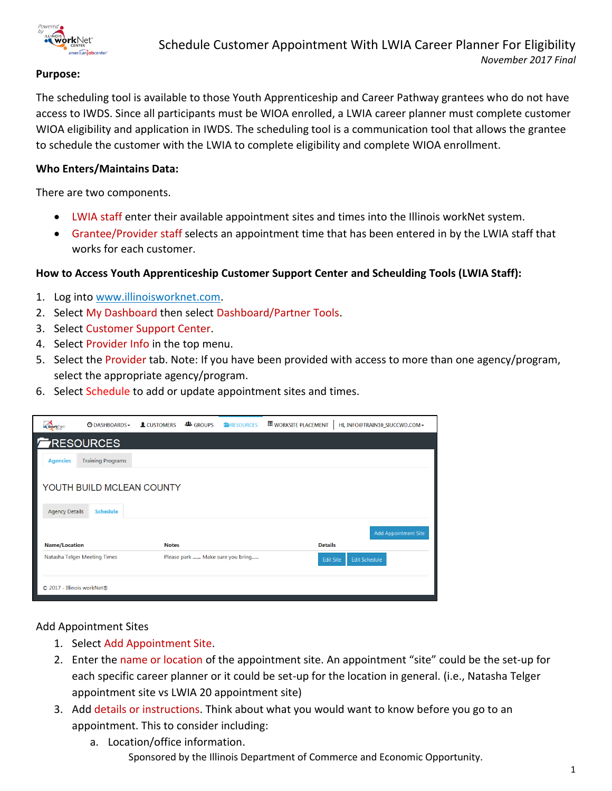

### **Purpose:**

The scheduling tool is available to those Youth Apprenticeship and Career Pathway grantees who do not have access to IWDS. Since all participants must be WIOA enrolled, a LWIA career planner must complete customer WIOA eligibility and application in IWDS. The scheduling tool is a communication tool that allows the grantee to schedule the customer with the LWIA to complete eligibility and complete WIOA enrollment.

#### **Who Enters/Maintains Data:**

There are two components.

- LWIA staff enter their available appointment sites and times into the Illinois workNet system.
- Grantee/Provider staff selects an appointment time that has been entered in by the LWIA staff that works for each customer.

#### **How to Access Youth Apprenticeship Customer Support Center and Scheulding Tools (LWIA Staff):**

- 1. Log into [www.illinoisworknet.com.](http://www.illinoisworknet.com/)
- 2. Select My Dashboard then select Dashboard/Partner Tools.
- 3. Select Customer Support Center.
- 4. Select Provider Info in the top menu.
- 5. Select the Provider tab. Note: If you have been provided with access to more than one agency/program, select the appropriate agency/program.
- 6. Select Schedule to add or update appointment sites and times.

| work Net                   | O DASHBOARDS -                               | <b>L</b> CUSTOMERS | <b>些 GROUPS</b> | <b>ERESOURCES</b>                | <b>WORKSITE PLACEMENT</b> | HI, INFO@TRAIN10_SIUCCWD.COM ~           |
|----------------------------|----------------------------------------------|--------------------|-----------------|----------------------------------|---------------------------|------------------------------------------|
|                            | RESOURCES                                    |                    |                 |                                  |                           |                                          |
| <b>Agencies</b>            | <b>Training Programs</b>                     |                    |                 |                                  |                           |                                          |
| <b>Agency Details</b>      | YOUTH BUILD MCLEAN COUNTY<br><b>Schedule</b> |                    |                 |                                  |                           |                                          |
| <b>Name/Location</b>       |                                              | <b>Notes</b>       |                 |                                  | <b>Details</b>            | <b>Add Appointment Site</b>              |
|                            | Natasha Telger Meeting Times                 |                    |                 | Please park  Make sure you bring |                           | <b>Edit Schedule</b><br><b>Edit Site</b> |
| © 2017 - Illinois workNet® |                                              |                    |                 |                                  |                           |                                          |

Add Appointment Sites

- 1. Select Add Appointment Site.
- 2. Enter the name or location of the appointment site. An appointment "site" could be the set-up for each specific career planner or it could be set-up for the location in general. (i.e., Natasha Telger appointment site vs LWIA 20 appointment site)
- 3. Add details or instructions. Think about what you would want to know before you go to an appointment. This to consider including:
	- Sponsored by the Illinois Department of Commerce and Economic Opportunity. a. Location/office information.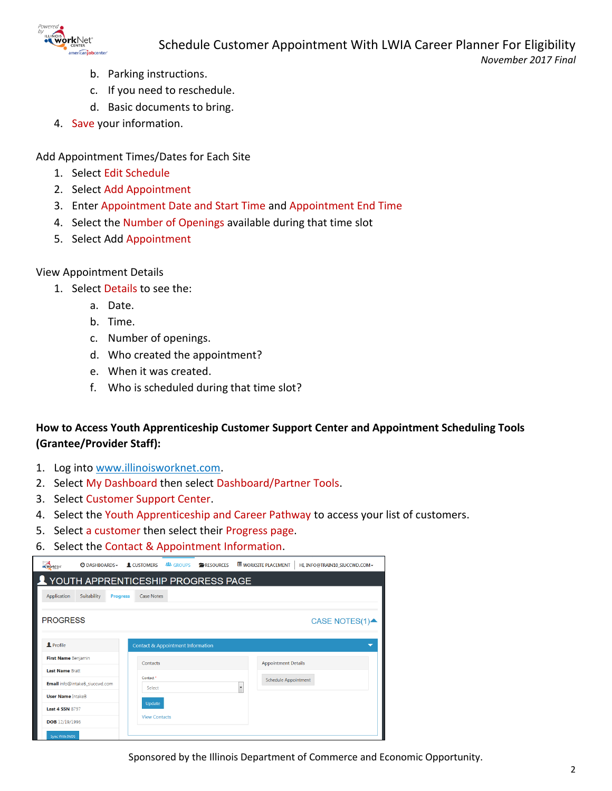

- b. Parking instructions.
- c. If you need to reschedule.
- d. Basic documents to bring.
- 4. Save your information.

Add Appointment Times/Dates for Each Site

- 1. Select Edit Schedule
- 2. Select Add Appointment
- 3. Enter Appointment Date and Start Time and Appointment End Time
- 4. Select the Number of Openings available during that time slot
- 5. Select Add Appointment

#### View Appointment Details

- 1. Select Details to see the:
	- a. Date.
	- b. Time.
	- c. Number of openings.
	- d. Who created the appointment?
	- e. When it was created.
	- f. Who is scheduled during that time slot?

# **How to Access Youth Apprenticeship Customer Support Center and Appointment Scheduling Tools (Grantee/Provider Staff):**

- 1. Log into [www.illinoisworknet.com.](http://www.illinoisworknet.com/)
- 2. Select My Dashboard then select Dashboard/Partner Tools.
- 3. Select Customer Support Center.
- 4. Select the Youth Apprenticeship and Career Pathway to access your list of customers.
- 5. Select a customer then select their Progress page.
- 6. Select the Contact & Appointment Information.

| workNet                  | O DASHBOARDS -                     | <b>L</b> CUSTOMERS   | <b>卷 GROUPS</b>                              | <b>ERESOURCES</b> |                          | <b>WORKSITE PLACEMENT</b>   | HI, INFO@TRAIN10 SIUCCWD.COM - |
|--------------------------|------------------------------------|----------------------|----------------------------------------------|-------------------|--------------------------|-----------------------------|--------------------------------|
|                          | VOUTH APPRENTICESHIP PROGRESS PAGE |                      |                                              |                   |                          |                             |                                |
| Application              | Suitability<br><b>Progress</b>     | <b>Case Notes</b>    |                                              |                   |                          |                             |                                |
| <b>PROGRESS</b>          |                                    |                      |                                              |                   |                          |                             | CASE NOTES(1)▲                 |
| <b>2</b> Profile         |                                    |                      | <b>Contact &amp; Appointment Information</b> |                   |                          |                             |                                |
| First Name Benjamin      |                                    | Contacts             |                                              |                   |                          | <b>Appointment Details</b>  |                                |
| <b>Last Name Bratt</b>   |                                    | Contact <sup>*</sup> |                                              |                   |                          |                             |                                |
|                          | Email info@intakeB siuccwd.com     | Select               |                                              |                   | $\overline{\phantom{a}}$ | <b>Schedule Appointment</b> |                                |
| <b>User Name IntakeB</b> |                                    |                      |                                              |                   |                          |                             |                                |
| <b>Last 4 SSN 8797</b>   |                                    | Update               |                                              |                   |                          |                             |                                |
| <b>DOB</b> 12/19/1996    |                                    | <b>View Contacts</b> |                                              |                   |                          |                             |                                |
| Sync With IWDS           |                                    |                      |                                              |                   |                          |                             |                                |

Sponsored by the Illinois Department of Commerce and Economic Opportunity.